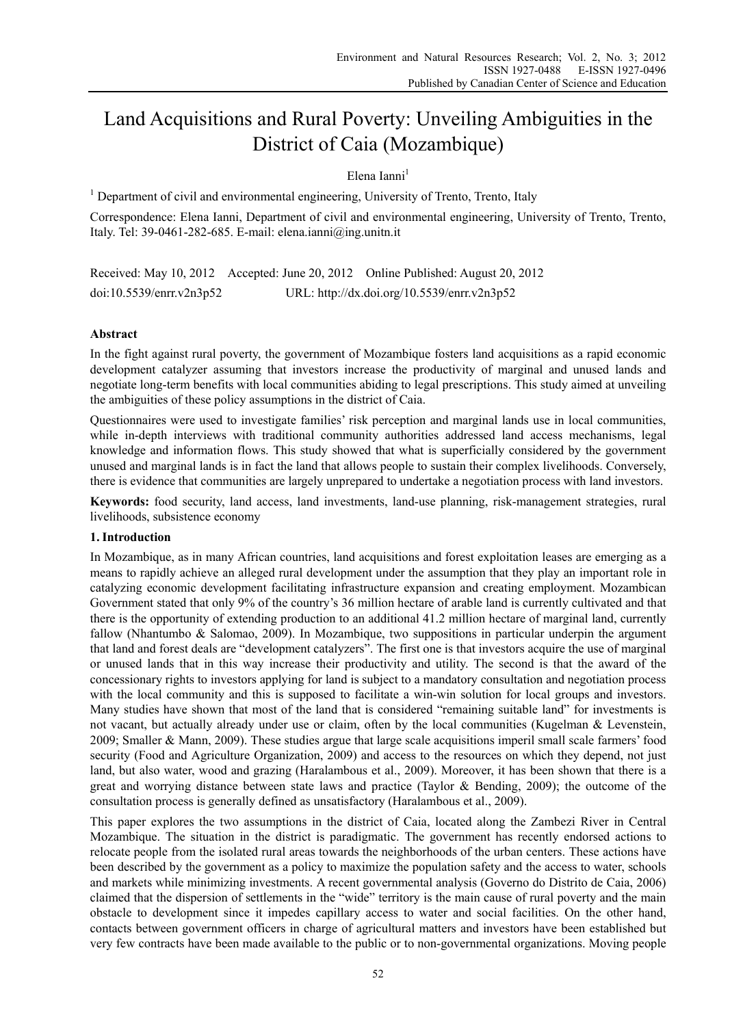# Land Acquisitions and Rural Poverty: Unveiling Ambiguities in the District of Caia (Mozambique)

Elena Ianni<sup>1</sup>

<sup>1</sup> Department of civil and environmental engineering, University of Trento, Trento, Italy

Correspondence: Elena Ianni, Department of civil and environmental engineering, University of Trento, Trento, Italy. Tel: 39-0461-282-685. E-mail: elena.ianni@ing.unitn.it

Received: May 10, 2012 Accepted: June 20, 2012 Online Published: August 20, 2012 doi:10.5539/enrr.v2n3p52 URL: http://dx.doi.org/10.5539/enrr.v2n3p52

# **Abstract**

In the fight against rural poverty, the government of Mozambique fosters land acquisitions as a rapid economic development catalyzer assuming that investors increase the productivity of marginal and unused lands and negotiate long-term benefits with local communities abiding to legal prescriptions. This study aimed at unveiling the ambiguities of these policy assumptions in the district of Caia.

Questionnaires were used to investigate families' risk perception and marginal lands use in local communities, while in-depth interviews with traditional community authorities addressed land access mechanisms, legal knowledge and information flows. This study showed that what is superficially considered by the government unused and marginal lands is in fact the land that allows people to sustain their complex livelihoods. Conversely, there is evidence that communities are largely unprepared to undertake a negotiation process with land investors.

**Keywords:** food security, land access, land investments, land-use planning, risk-management strategies, rural livelihoods, subsistence economy

## **1. Introduction**

In Mozambique, as in many African countries, land acquisitions and forest exploitation leases are emerging as a means to rapidly achieve an alleged rural development under the assumption that they play an important role in catalyzing economic development facilitating infrastructure expansion and creating employment. Mozambican Government stated that only 9% of the country's 36 million hectare of arable land is currently cultivated and that there is the opportunity of extending production to an additional 41.2 million hectare of marginal land, currently fallow (Nhantumbo & Salomao, 2009). In Mozambique, two suppositions in particular underpin the argument that land and forest deals are "development catalyzers". The first one is that investors acquire the use of marginal or unused lands that in this way increase their productivity and utility. The second is that the award of the concessionary rights to investors applying for land is subject to a mandatory consultation and negotiation process with the local community and this is supposed to facilitate a win-win solution for local groups and investors. Many studies have shown that most of the land that is considered "remaining suitable land" for investments is not vacant, but actually already under use or claim, often by the local communities (Kugelman & Levenstein, 2009; Smaller & Mann, 2009). These studies argue that large scale acquisitions imperil small scale farmers' food security (Food and Agriculture Organization, 2009) and access to the resources on which they depend, not just land, but also water, wood and grazing (Haralambous et al., 2009). Moreover, it has been shown that there is a great and worrying distance between state laws and practice (Taylor & Bending, 2009); the outcome of the consultation process is generally defined as unsatisfactory (Haralambous et al., 2009).

This paper explores the two assumptions in the district of Caia, located along the Zambezi River in Central Mozambique. The situation in the district is paradigmatic. The government has recently endorsed actions to relocate people from the isolated rural areas towards the neighborhoods of the urban centers. These actions have been described by the government as a policy to maximize the population safety and the access to water, schools and markets while minimizing investments. A recent governmental analysis (Governo do Distrito de Caia, 2006) claimed that the dispersion of settlements in the "wide" territory is the main cause of rural poverty and the main obstacle to development since it impedes capillary access to water and social facilities. On the other hand, contacts between government officers in charge of agricultural matters and investors have been established but very few contracts have been made available to the public or to non-governmental organizations. Moving people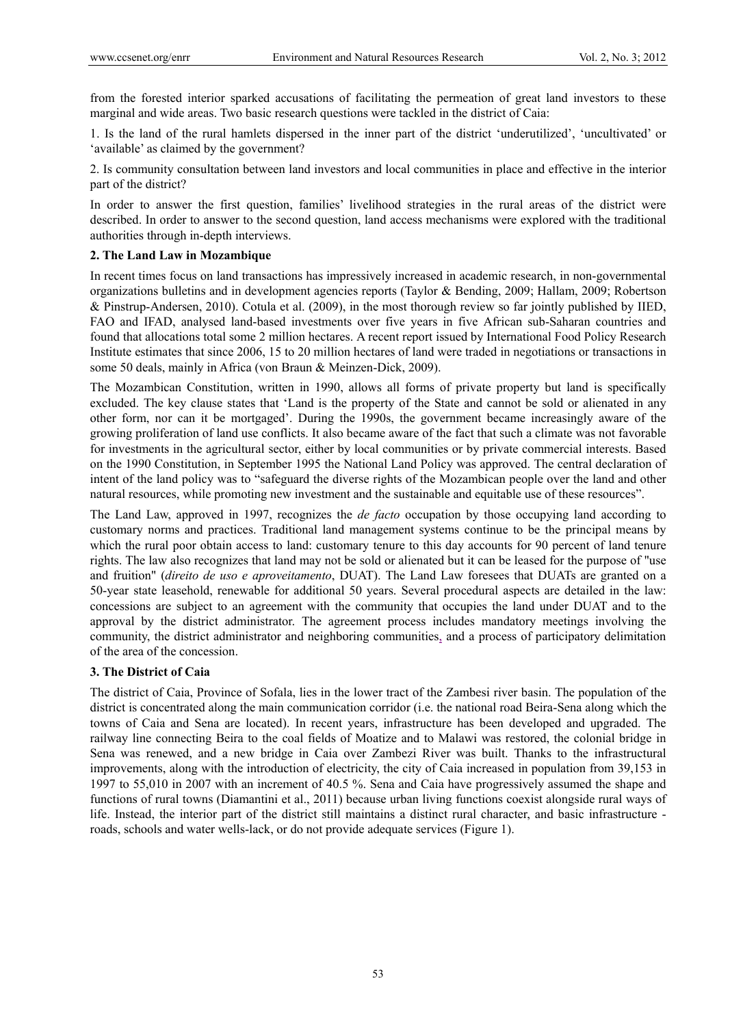from the forested interior sparked accusations of facilitating the permeation of great land investors to these marginal and wide areas. Two basic research questions were tackled in the district of Caia:

1. Is the land of the rural hamlets dispersed in the inner part of the district 'underutilized', 'uncultivated' or 'available' as claimed by the government?

2. Is community consultation between land investors and local communities in place and effective in the interior part of the district?

In order to answer the first question, families' livelihood strategies in the rural areas of the district were described. In order to answer to the second question, land access mechanisms were explored with the traditional authorities through in-depth interviews.

## **2. The Land Law in Mozambique**

In recent times focus on land transactions has impressively increased in academic research, in non-governmental organizations bulletins and in development agencies reports (Taylor & Bending, 2009; Hallam, 2009; Robertson & Pinstrup-Andersen, 2010). Cotula et al. (2009), in the most thorough review so far jointly published by IIED, FAO and IFAD, analysed land-based investments over five years in five African sub-Saharan countries and found that allocations total some 2 million hectares. A recent report issued by International Food Policy Research Institute estimates that since 2006, 15 to 20 million hectares of land were traded in negotiations or transactions in some 50 deals, mainly in Africa (von Braun & Meinzen-Dick, 2009).

The Mozambican Constitution, written in 1990, allows all forms of private property but land is specifically excluded. The key clause states that 'Land is the property of the State and cannot be sold or alienated in any other form, nor can it be mortgaged'. During the 1990s, the government became increasingly aware of the growing proliferation of land use conflicts. It also became aware of the fact that such a climate was not favorable for investments in the agricultural sector, either by local communities or by private commercial interests. Based on the 1990 Constitution, in September 1995 the National Land Policy was approved. The central declaration of intent of the land policy was to "safeguard the diverse rights of the Mozambican people over the land and other natural resources, while promoting new investment and the sustainable and equitable use of these resources".

The Land Law, approved in 1997, recognizes the *de facto* occupation by those occupying land according to customary norms and practices. Traditional land management systems continue to be the principal means by which the rural poor obtain access to land: customary tenure to this day accounts for 90 percent of land tenure rights. The law also recognizes that land may not be sold or alienated but it can be leased for the purpose of "use and fruition" (*direito de uso e aproveitamento*, DUAT). The Land Law foresees that DUATs are granted on a 50-year state leasehold, renewable for additional 50 years. Several procedural aspects are detailed in the law: concessions are subject to an agreement with the community that occupies the land under DUAT and to the approval by the district administrator. The agreement process includes mandatory meetings involving the community, the district administrator and neighboring communities, and a process of participatory delimitation of the area of the concession.

# **3. The District of Caia**

The district of Caia, Province of Sofala, lies in the lower tract of the Zambesi river basin. The population of the district is concentrated along the main communication corridor (i.e. the national road Beira-Sena along which the towns of Caia and Sena are located). In recent years, infrastructure has been developed and upgraded. The railway line connecting Beira to the coal fields of Moatize and to Malawi was restored, the colonial bridge in Sena was renewed, and a new bridge in Caia over Zambezi River was built. Thanks to the infrastructural improvements, along with the introduction of electricity, the city of Caia increased in population from 39,153 in 1997 to 55,010 in 2007 with an increment of 40.5 %. Sena and Caia have progressively assumed the shape and functions of rural towns (Diamantini et al., 2011) because urban living functions coexist alongside rural ways of life. Instead, the interior part of the district still maintains a distinct rural character, and basic infrastructure roads, schools and water wells-lack, or do not provide adequate services (Figure 1).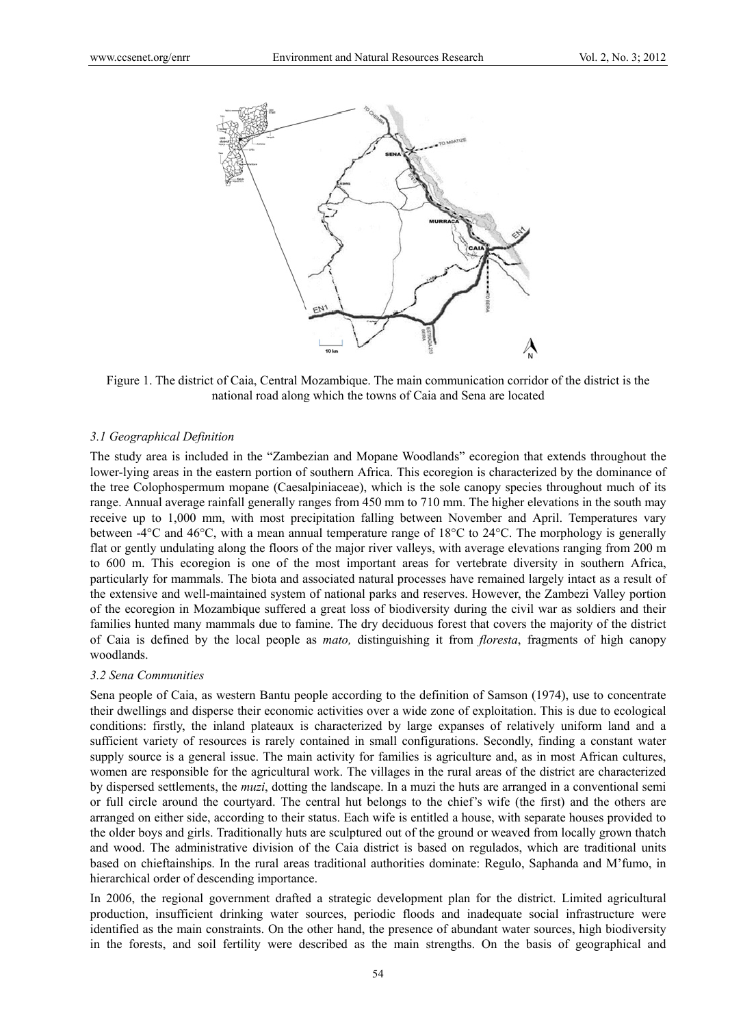

Figure 1. The district of Caia, Central Mozambique. The main communication corridor of the district is the national road along which the towns of Caia and Sena are located

#### *3.1 Geographical Definition*

The study area is included in the "Zambezian and Mopane Woodlands" ecoregion that extends throughout the lower-lying areas in the eastern portion of southern Africa. This ecoregion is characterized by the dominance of the tree Colophospermum mopane (Caesalpiniaceae), which is the sole canopy species throughout much of its range. Annual average rainfall generally ranges from 450 mm to 710 mm. The higher elevations in the south may receive up to 1,000 mm, with most precipitation falling between November and April. Temperatures vary between -4°C and 46°C, with a mean annual temperature range of 18°C to 24°C. The morphology is generally flat or gently undulating along the floors of the major river valleys, with average elevations ranging from 200 m to 600 m. This ecoregion is one of the most important areas for vertebrate diversity in southern Africa, particularly for mammals. The biota and associated natural processes have remained largely intact as a result of the extensive and well-maintained system of national parks and reserves. However, the Zambezi Valley portion of the ecoregion in Mozambique suffered a great loss of biodiversity during the civil war as soldiers and their families hunted many mammals due to famine. The dry deciduous forest that covers the majority of the district of Caia is defined by the local people as *mato,* distinguishing it from *floresta*, fragments of high canopy woodlands.

#### *3.2 Sena Communities*

Sena people of Caia, as western Bantu people according to the definition of Samson (1974), use to concentrate their dwellings and disperse their economic activities over a wide zone of exploitation. This is due to ecological conditions: firstly, the inland plateaux is characterized by large expanses of relatively uniform land and a sufficient variety of resources is rarely contained in small configurations. Secondly, finding a constant water supply source is a general issue. The main activity for families is agriculture and, as in most African cultures, women are responsible for the agricultural work. The villages in the rural areas of the district are characterized by dispersed settlements, the *muzi*, dotting the landscape. In a muzi the huts are arranged in a conventional semi or full circle around the courtyard. The central hut belongs to the chief's wife (the first) and the others are arranged on either side, according to their status. Each wife is entitled a house, with separate houses provided to the older boys and girls. Traditionally huts are sculptured out of the ground or weaved from locally grown thatch and wood. The administrative division of the Caia district is based on regulados, which are traditional units based on chieftainships. In the rural areas traditional authorities dominate: Regulo, Saphanda and M'fumo, in hierarchical order of descending importance.

In 2006, the regional government drafted a strategic development plan for the district. Limited agricultural production, insufficient drinking water sources, periodic floods and inadequate social infrastructure were identified as the main constraints. On the other hand, the presence of abundant water sources, high biodiversity in the forests, and soil fertility were described as the main strengths. On the basis of geographical and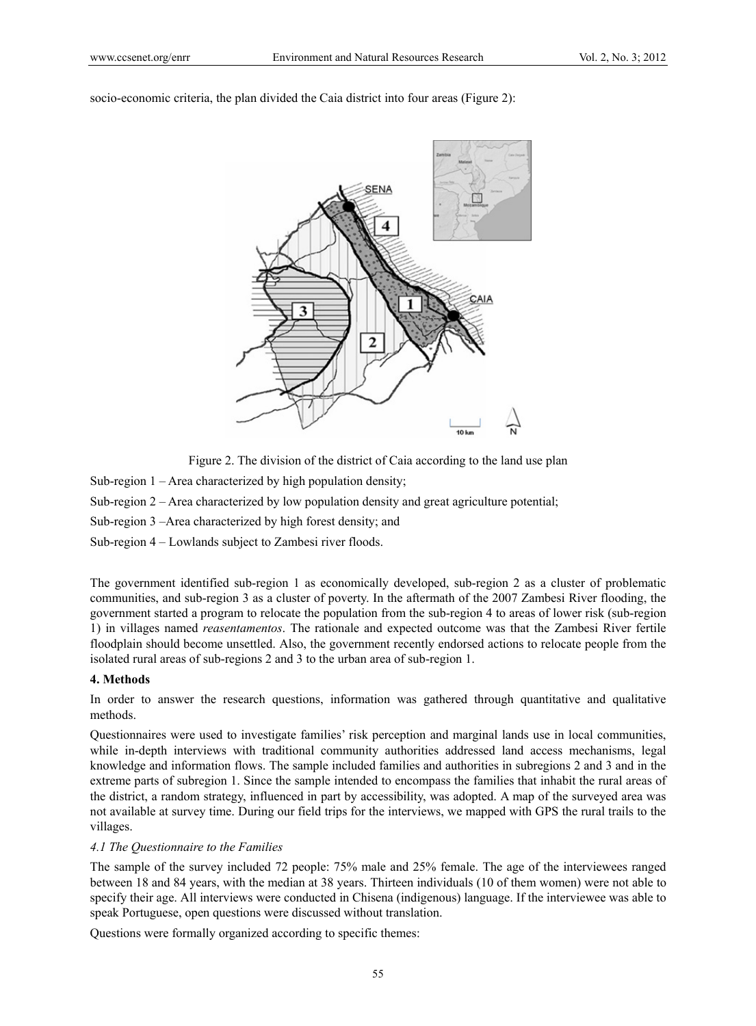

socio-economic criteria, the plan divided the Caia district into four areas (Figure 2):



Sub-region 1 – Area characterized by high population density;

Sub-region 2 – Area characterized by low population density and great agriculture potential;

Sub-region 3 –Area characterized by high forest density; and

Sub-region 4 – Lowlands subject to Zambesi river floods.

The government identified sub-region 1 as economically developed, sub-region 2 as a cluster of problematic communities, and sub-region 3 as a cluster of poverty. In the aftermath of the 2007 Zambesi River flooding, the government started a program to relocate the population from the sub-region 4 to areas of lower risk (sub-region 1) in villages named *reasentamentos*. The rationale and expected outcome was that the Zambesi River fertile floodplain should become unsettled. Also, the government recently endorsed actions to relocate people from the isolated rural areas of sub-regions 2 and 3 to the urban area of sub-region 1.

## **4. Methods**

In order to answer the research questions, information was gathered through quantitative and qualitative methods.

Questionnaires were used to investigate families' risk perception and marginal lands use in local communities, while in-depth interviews with traditional community authorities addressed land access mechanisms, legal knowledge and information flows. The sample included families and authorities in subregions 2 and 3 and in the extreme parts of subregion 1. Since the sample intended to encompass the families that inhabit the rural areas of the district, a random strategy, influenced in part by accessibility, was adopted. A map of the surveyed area was not available at survey time. During our field trips for the interviews, we mapped with GPS the rural trails to the villages.

#### *4.1 The Questionnaire to the Families*

The sample of the survey included 72 people: 75% male and 25% female. The age of the interviewees ranged between 18 and 84 years, with the median at 38 years. Thirteen individuals (10 of them women) were not able to specify their age. All interviews were conducted in Chisena (indigenous) language. If the interviewee was able to speak Portuguese, open questions were discussed without translation.

Questions were formally organized according to specific themes: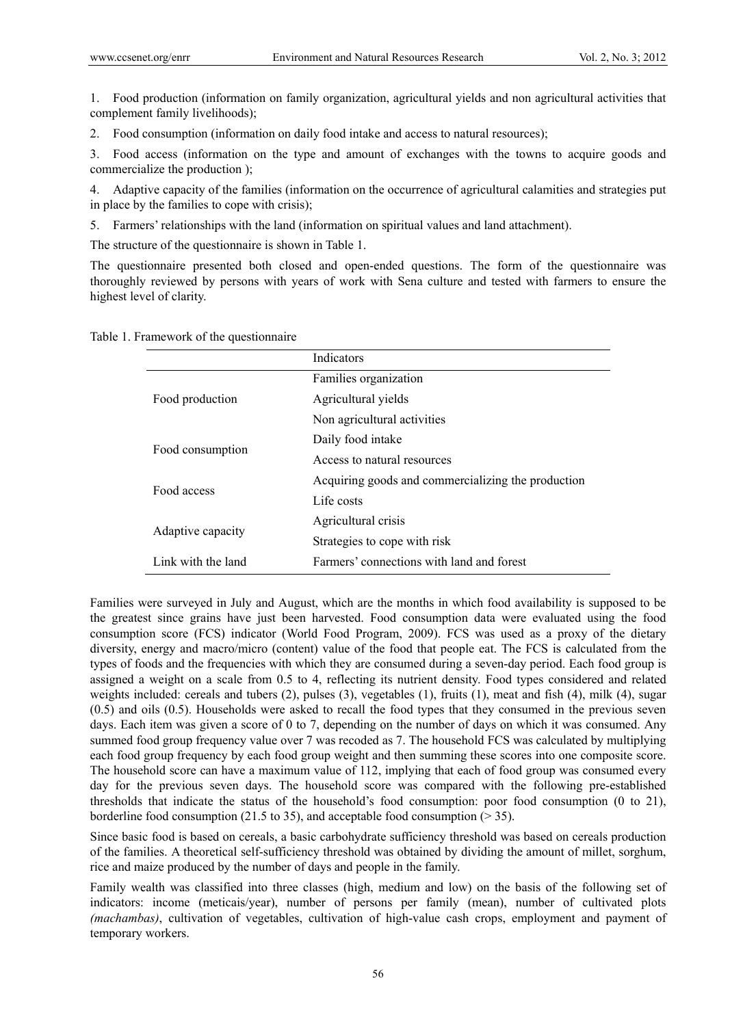1. Food production (information on family organization, agricultural yields and non agricultural activities that complement family livelihoods);

2. Food consumption (information on daily food intake and access to natural resources);

3. Food access (information on the type and amount of exchanges with the towns to acquire goods and commercialize the production );

4. Adaptive capacity of the families (information on the occurrence of agricultural calamities and strategies put in place by the families to cope with crisis);

5. Farmers' relationships with the land (information on spiritual values and land attachment).

The structure of the questionnaire is shown in Table 1.

The questionnaire presented both closed and open-ended questions. The form of the questionnaire was thoroughly reviewed by persons with years of work with Sena culture and tested with farmers to ensure the highest level of clarity.

|                    | Indicators                                         |  |
|--------------------|----------------------------------------------------|--|
|                    | Families organization                              |  |
| Food production    | Agricultural yields                                |  |
|                    | Non agricultural activities                        |  |
|                    | Daily food intake                                  |  |
| Food consumption   | Access to natural resources                        |  |
| Food access        | Acquiring goods and commercializing the production |  |
|                    | Life costs                                         |  |
|                    | Agricultural crisis                                |  |
| Adaptive capacity  | Strategies to cope with risk                       |  |
| Link with the land | Farmers' connections with land and forest          |  |

Table 1. Framework of the questionnaire

Families were surveyed in July and August, which are the months in which food availability is supposed to be the greatest since grains have just been harvested. Food consumption data were evaluated using the food consumption score (FCS) indicator (World Food Program, 2009). FCS was used as a proxy of the dietary diversity, energy and macro/micro (content) value of the food that people eat. The FCS is calculated from the types of foods and the frequencies with which they are consumed during a seven-day period. Each food group is assigned a weight on a scale from 0.5 to 4, reflecting its nutrient density. Food types considered and related weights included: cereals and tubers (2), pulses (3), vegetables (1), fruits (1), meat and fish (4), milk (4), sugar (0.5) and oils (0.5). Households were asked to recall the food types that they consumed in the previous seven days. Each item was given a score of 0 to 7, depending on the number of days on which it was consumed. Any summed food group frequency value over 7 was recoded as 7. The household FCS was calculated by multiplying each food group frequency by each food group weight and then summing these scores into one composite score. The household score can have a maximum value of 112, implying that each of food group was consumed every day for the previous seven days. The household score was compared with the following pre-established thresholds that indicate the status of the household's food consumption: poor food consumption (0 to 21), borderline food consumption (21.5 to 35), and acceptable food consumption ( $>$  35).

Since basic food is based on cereals, a basic carbohydrate sufficiency threshold was based on cereals production of the families. A theoretical self-sufficiency threshold was obtained by dividing the amount of millet, sorghum, rice and maize produced by the number of days and people in the family.

Family wealth was classified into three classes (high, medium and low) on the basis of the following set of indicators: income (meticais/year), number of persons per family (mean), number of cultivated plots *(machambas)*, cultivation of vegetables, cultivation of high-value cash crops, employment and payment of temporary workers.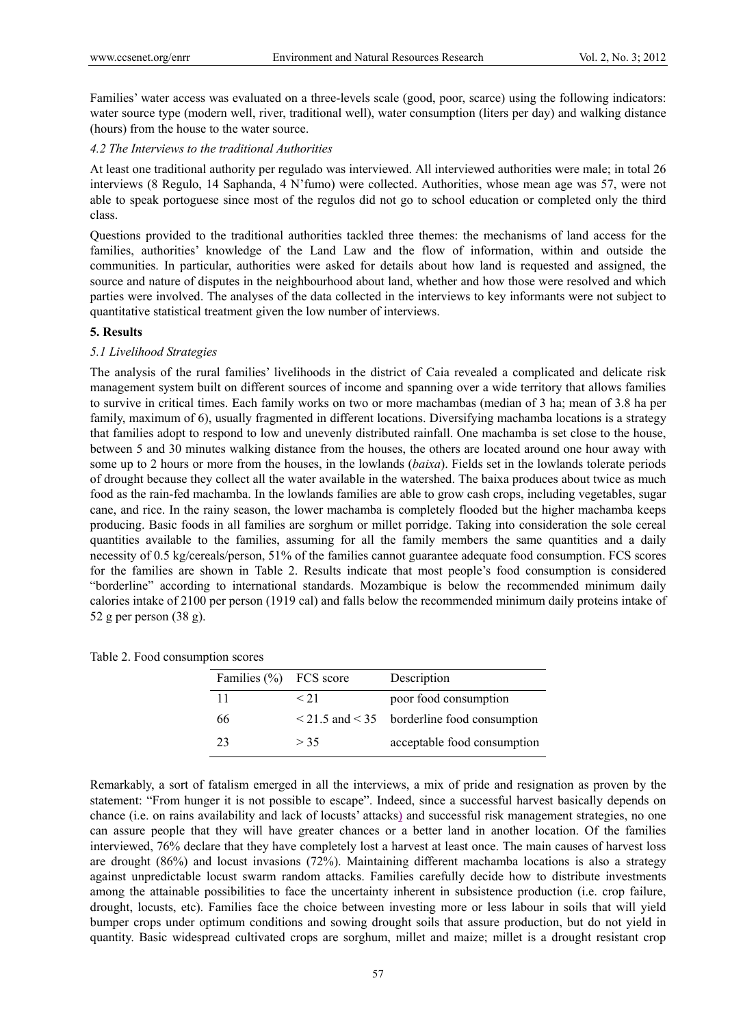Families' water access was evaluated on a three-levels scale (good, poor, scarce) using the following indicators: water source type (modern well, river, traditional well), water consumption (liters per day) and walking distance (hours) from the house to the water source.

#### *4.2 The Interviews to the traditional Authorities*

At least one traditional authority per regulado was interviewed. All interviewed authorities were male; in total 26 interviews (8 Regulo, 14 Saphanda, 4 N'fumo) were collected. Authorities, whose mean age was 57, were not able to speak portoguese since most of the regulos did not go to school education or completed only the third class.

Questions provided to the traditional authorities tackled three themes: the mechanisms of land access for the families, authorities' knowledge of the Land Law and the flow of information, within and outside the communities. In particular, authorities were asked for details about how land is requested and assigned, the source and nature of disputes in the neighbourhood about land, whether and how those were resolved and which parties were involved. The analyses of the data collected in the interviews to key informants were not subject to quantitative statistical treatment given the low number of interviews.

#### **5. Results**

#### *5.1 Livelihood Strategies*

The analysis of the rural families' livelihoods in the district of Caia revealed a complicated and delicate risk management system built on different sources of income and spanning over a wide territory that allows families to survive in critical times. Each family works on two or more machambas (median of 3 ha; mean of 3.8 ha per family, maximum of 6), usually fragmented in different locations. Diversifying machamba locations is a strategy that families adopt to respond to low and unevenly distributed rainfall. One machamba is set close to the house, between 5 and 30 minutes walking distance from the houses, the others are located around one hour away with some up to 2 hours or more from the houses, in the lowlands (*baixa*). Fields set in the lowlands tolerate periods of drought because they collect all the water available in the watershed. The baixa produces about twice as much food as the rain-fed machamba. In the lowlands families are able to grow cash crops, including vegetables, sugar cane, and rice. In the rainy season, the lower machamba is completely flooded but the higher machamba keeps producing. Basic foods in all families are sorghum or millet porridge. Taking into consideration the sole cereal quantities available to the families, assuming for all the family members the same quantities and a daily necessity of 0.5 kg/cereals/person, 51% of the families cannot guarantee adequate food consumption. FCS scores for the families are shown in Table 2. Results indicate that most people's food consumption is considered "borderline" according to international standards. Mozambique is below the recommended minimum daily calories intake of 2100 per person (1919 cal) and falls below the recommended minimum daily proteins intake of 52 g per person (38 g).

|  | Families (%) FCS score |      | Description                                         |
|--|------------------------|------|-----------------------------------------------------|
|  | 11                     | < 21 | poor food consumption                               |
|  | 66                     |      | $\le$ 21.5 and $\le$ 35 borderline food consumption |
|  | 23                     | > 35 | acceptable food consumption                         |

Table 2. Food consumption scores

Remarkably, a sort of fatalism emerged in all the interviews, a mix of pride and resignation as proven by the statement: "From hunger it is not possible to escape". Indeed, since a successful harvest basically depends on chance (i.e. on rains availability and lack of locusts' attacks) and successful risk management strategies, no one can assure people that they will have greater chances or a better land in another location. Of the families interviewed, 76% declare that they have completely lost a harvest at least once. The main causes of harvest loss are drought (86%) and locust invasions (72%). Maintaining different machamba locations is also a strategy against unpredictable locust swarm random attacks. Families carefully decide how to distribute investments among the attainable possibilities to face the uncertainty inherent in subsistence production (i.e. crop failure, drought, locusts, etc). Families face the choice between investing more or less labour in soils that will yield bumper crops under optimum conditions and sowing drought soils that assure production, but do not yield in quantity. Basic widespread cultivated crops are sorghum, millet and maize; millet is a drought resistant crop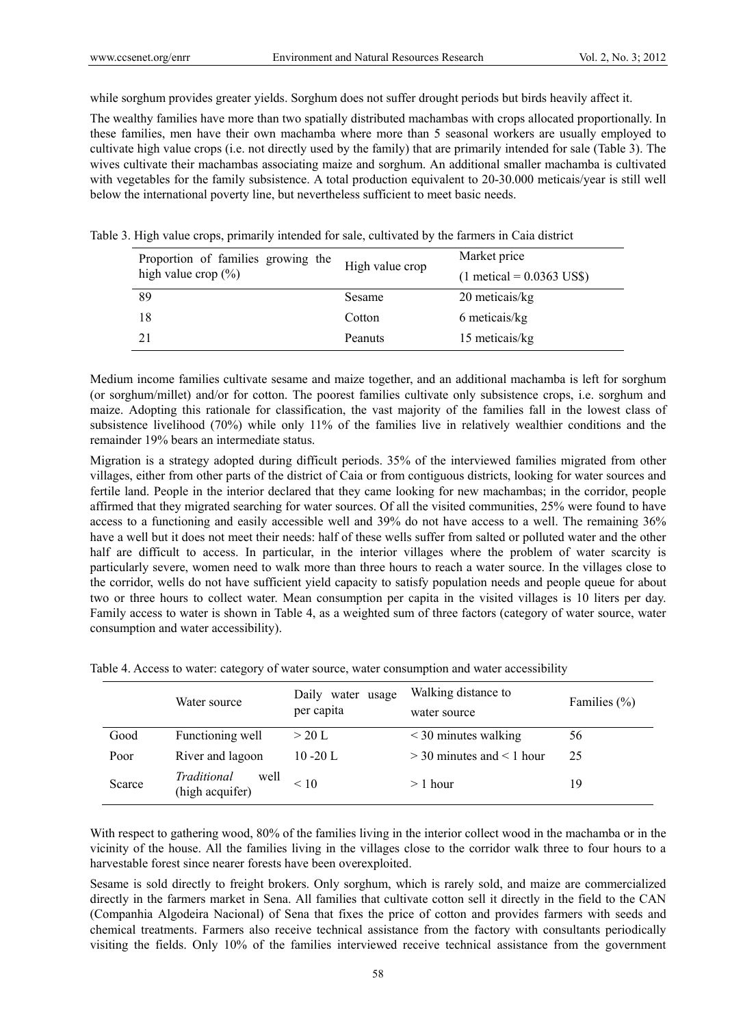while sorghum provides greater yields. Sorghum does not suffer drought periods but birds heavily affect it.

The wealthy families have more than two spatially distributed machambas with crops allocated proportionally. In these families, men have their own machamba where more than 5 seasonal workers are usually employed to cultivate high value crops (i.e. not directly used by the family) that are primarily intended for sale (Table 3). The wives cultivate their machambas associating maize and sorghum. An additional smaller machamba is cultivated with vegetables for the family subsistence. A total production equivalent to 20-30.000 meticais/year is still well below the international poverty line, but nevertheless sufficient to meet basic needs.

| Proportion of families growing the | High value crop | Market price                              |
|------------------------------------|-----------------|-------------------------------------------|
| high value crop $(\% )$            |                 | $(1 \text{ metical} = 0.0363 \text{ US})$ |
| 89                                 | Sesame          | 20 meticais/kg                            |
| 18                                 | Cotton          | 6 meticais/kg                             |
| 21                                 | Peanuts         | 15 meticais/kg                            |

Table 3. High value crops, primarily intended for sale, cultivated by the farmers in Caia district

Medium income families cultivate sesame and maize together, and an additional machamba is left for sorghum (or sorghum/millet) and/or for cotton. The poorest families cultivate only subsistence crops, i.e. sorghum and maize. Adopting this rationale for classification, the vast majority of the families fall in the lowest class of subsistence livelihood (70%) while only 11% of the families live in relatively wealthier conditions and the remainder 19% bears an intermediate status.

Migration is a strategy adopted during difficult periods. 35% of the interviewed families migrated from other villages, either from other parts of the district of Caia or from contiguous districts, looking for water sources and fertile land. People in the interior declared that they came looking for new machambas; in the corridor, people affirmed that they migrated searching for water sources. Of all the visited communities, 25% were found to have access to a functioning and easily accessible well and 39% do not have access to a well. The remaining 36% have a well but it does not meet their needs: half of these wells suffer from salted or polluted water and the other half are difficult to access. In particular, in the interior villages where the problem of water scarcity is particularly severe, women need to walk more than three hours to reach a water source. In the villages close to the corridor, wells do not have sufficient yield capacity to satisfy population needs and people queue for about two or three hours to collect water. Mean consumption per capita in the visited villages is 10 liters per day. Family access to water is shown in Table 4, as a weighted sum of three factors (category of water source, water consumption and water accessibility).

| Table 4. Access to water: category of water source, water consumption and water accessibility |  |
|-----------------------------------------------------------------------------------------------|--|
|                                                                                               |  |

|        | Water source                                  | Daily water usage<br>per capita | Walking distance to<br>water source | Families $(\% )$ |
|--------|-----------------------------------------------|---------------------------------|-------------------------------------|------------------|
| Good   | Functioning well                              | $>$ 20 L                        | $\leq$ 30 minutes walking           | 56               |
| Poor   | River and lagoon                              | $10 - 20$ L                     | $>$ 30 minutes and $<$ 1 hour       | 25               |
| Scarce | <i>Traditional</i><br>well<br>(high acquifer) | < 10                            | $>1$ hour                           | 19               |

With respect to gathering wood, 80% of the families living in the interior collect wood in the machamba or in the vicinity of the house. All the families living in the villages close to the corridor walk three to four hours to a harvestable forest since nearer forests have been overexploited.

Sesame is sold directly to freight brokers. Only sorghum, which is rarely sold, and maize are commercialized directly in the farmers market in Sena. All families that cultivate cotton sell it directly in the field to the CAN (Companhia Algodeira Nacional) of Sena that fixes the price of cotton and provides farmers with seeds and chemical treatments. Farmers also receive technical assistance from the factory with consultants periodically visiting the fields. Only 10% of the families interviewed receive technical assistance from the government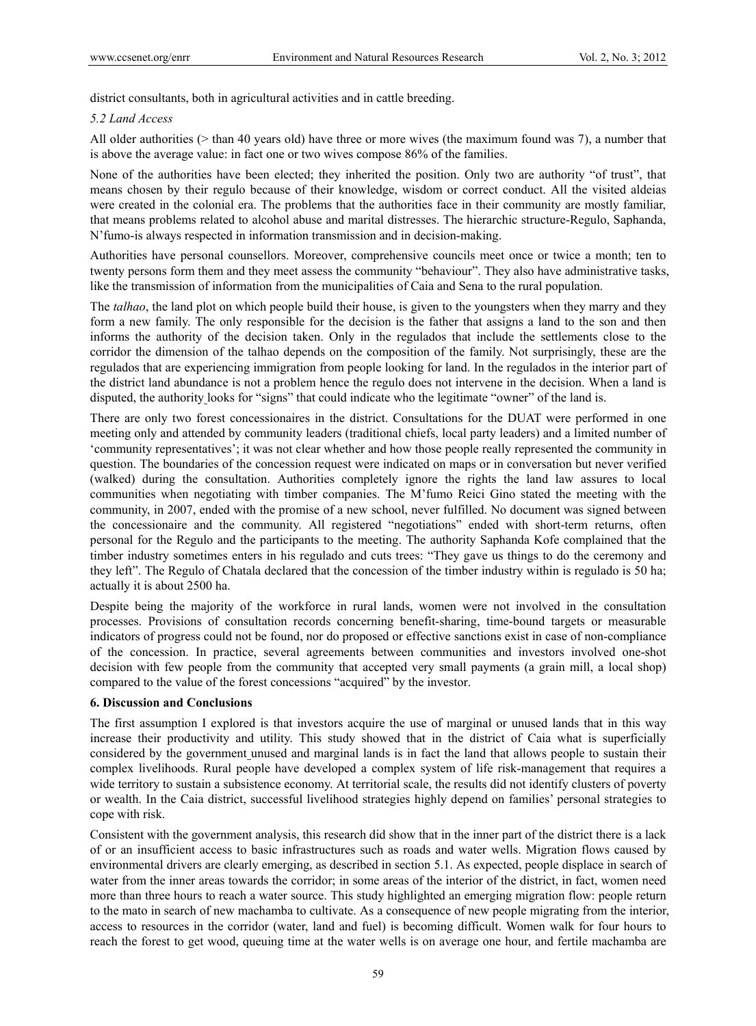district consultants, both in agricultural activities and in cattle breeding.

#### *5.2 Land Access*

All older authorities (> than 40 years old) have three or more wives (the maximum found was 7), a number that is above the average value: in fact one or two wives compose 86% of the families.

None of the authorities have been elected; they inherited the position. Only two are authority "of trust", that means chosen by their regulo because of their knowledge, wisdom or correct conduct. All the visited aldeias were created in the colonial era. The problems that the authorities face in their community are mostly familiar, that means problems related to alcohol abuse and marital distresses. The hierarchic structure-Regulo, Saphanda, N'fumo-is always respected in information transmission and in decision-making.

Authorities have personal counsellors. Moreover, comprehensive councils meet once or twice a month; ten to twenty persons form them and they meet assess the community "behaviour". They also have administrative tasks, like the transmission of information from the municipalities of Caia and Sena to the rural population.

The *talhao*, the land plot on which people build their house, is given to the youngsters when they marry and they form a new family. The only responsible for the decision is the father that assigns a land to the son and then informs the authority of the decision taken. Only in the regulados that include the settlements close to the corridor the dimension of the talhao depends on the composition of the family. Not surprisingly, these are the regulados that are experiencing immigration from people looking for land. In the regulados in the interior part of the district land abundance is not a problem hence the regulo does not intervene in the decision. When a land is disputed, the authority looks for "signs" that could indicate who the legitimate "owner" of the land is.

There are only two forest concessionaires in the district. Consultations for the DUAT were performed in one meeting only and attended by community leaders (traditional chiefs, local party leaders) and a limited number of 'community representatives'; it was not clear whether and how those people really represented the community in question. The boundaries of the concession request were indicated on maps or in conversation but never verified (walked) during the consultation. Authorities completely ignore the rights the land law assures to local communities when negotiating with timber companies. The M'fumo Reici Gino stated the meeting with the community, in 2007, ended with the promise of a new school, never fulfilled. No document was signed between the concessionaire and the community. All registered "negotiations" ended with short-term returns, often personal for the Regulo and the participants to the meeting. The authority Saphanda Kofe complained that the timber industry sometimes enters in his regulado and cuts trees: "They gave us things to do the ceremony and they left". The Regulo of Chatala declared that the concession of the timber industry within is regulado is 50 ha; actually it is about 2500 ha.

Despite being the majority of the workforce in rural lands, women were not involved in the consultation processes. Provisions of consultation records concerning benefit-sharing, time-bound targets or measurable indicators of progress could not be found, nor do proposed or effective sanctions exist in case of non-compliance of the concession. In practice, several agreements between communities and investors involved one-shot decision with few people from the community that accepted very small payments (a grain mill, a local shop) compared to the value of the forest concessions "acquired" by the investor.

## **6. Discussion and Conclusions**

The first assumption I explored is that investors acquire the use of marginal or unused lands that in this way increase their productivity and utility. This study showed that in the district of Caia what is superficially considered by the government unused and marginal lands is in fact the land that allows people to sustain their complex livelihoods. Rural people have developed a complex system of life risk-management that requires a wide territory to sustain a subsistence economy. At territorial scale, the results did not identify clusters of poverty or wealth. In the Caia district, successful livelihood strategies highly depend on families' personal strategies to cope with risk.

Consistent with the government analysis, this research did show that in the inner part of the district there is a lack of or an insufficient access to basic infrastructures such as roads and water wells. Migration flows caused by environmental drivers are clearly emerging, as described in section 5.1. As expected, people displace in search of water from the inner areas towards the corridor; in some areas of the interior of the district, in fact, women need more than three hours to reach a water source. This study highlighted an emerging migration flow: people return to the mato in search of new machamba to cultivate. As a consequence of new people migrating from the interior, access to resources in the corridor (water, land and fuel) is becoming difficult. Women walk for four hours to reach the forest to get wood, queuing time at the water wells is on average one hour, and fertile machamba are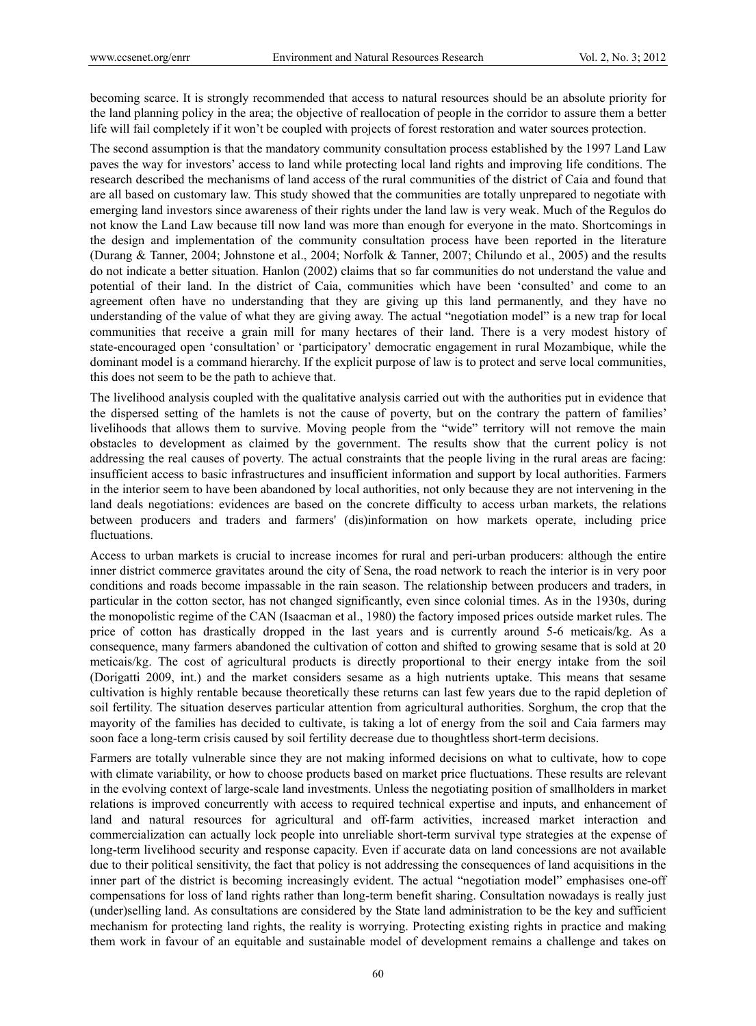becoming scarce. It is strongly recommended that access to natural resources should be an absolute priority for the land planning policy in the area; the objective of reallocation of people in the corridor to assure them a better life will fail completely if it won't be coupled with projects of forest restoration and water sources protection.

The second assumption is that the mandatory community consultation process established by the 1997 Land Law paves the way for investors' access to land while protecting local land rights and improving life conditions. The research described the mechanisms of land access of the rural communities of the district of Caia and found that are all based on customary law. This study showed that the communities are totally unprepared to negotiate with emerging land investors since awareness of their rights under the land law is very weak. Much of the Regulos do not know the Land Law because till now land was more than enough for everyone in the mato. Shortcomings in the design and implementation of the community consultation process have been reported in the literature (Durang & Tanner, 2004; Johnstone et al., 2004; Norfolk & Tanner, 2007; Chilundo et al., 2005) and the results do not indicate a better situation. Hanlon (2002) claims that so far communities do not understand the value and potential of their land. In the district of Caia, communities which have been 'consulted' and come to an agreement often have no understanding that they are giving up this land permanently, and they have no understanding of the value of what they are giving away. The actual "negotiation model" is a new trap for local communities that receive a grain mill for many hectares of their land. There is a very modest history of state-encouraged open 'consultation' or 'participatory' democratic engagement in rural Mozambique, while the dominant model is a command hierarchy. If the explicit purpose of law is to protect and serve local communities, this does not seem to be the path to achieve that.

The livelihood analysis coupled with the qualitative analysis carried out with the authorities put in evidence that the dispersed setting of the hamlets is not the cause of poverty, but on the contrary the pattern of families' livelihoods that allows them to survive. Moving people from the "wide" territory will not remove the main obstacles to development as claimed by the government. The results show that the current policy is not addressing the real causes of poverty. The actual constraints that the people living in the rural areas are facing: insufficient access to basic infrastructures and insufficient information and support by local authorities. Farmers in the interior seem to have been abandoned by local authorities, not only because they are not intervening in the land deals negotiations: evidences are based on the concrete difficulty to access urban markets, the relations between producers and traders and farmers' (dis)information on how markets operate, including price fluctuations.

Access to urban markets is crucial to increase incomes for rural and peri-urban producers: although the entire inner district commerce gravitates around the city of Sena, the road network to reach the interior is in very poor conditions and roads become impassable in the rain season. The relationship between producers and traders, in particular in the cotton sector, has not changed significantly, even since colonial times. As in the 1930s, during the monopolistic regime of the CAN (Isaacman et al., 1980) the factory imposed prices outside market rules. The price of cotton has drastically dropped in the last years and is currently around 5-6 meticais/kg. As a consequence, many farmers abandoned the cultivation of cotton and shifted to growing sesame that is sold at 20 meticais/kg. The cost of agricultural products is directly proportional to their energy intake from the soil (Dorigatti 2009, int.) and the market considers sesame as a high nutrients uptake. This means that sesame cultivation is highly rentable because theoretically these returns can last few years due to the rapid depletion of soil fertility. The situation deserves particular attention from agricultural authorities. Sorghum, the crop that the mayority of the families has decided to cultivate, is taking a lot of energy from the soil and Caia farmers may soon face a long-term crisis caused by soil fertility decrease due to thoughtless short-term decisions.

Farmers are totally vulnerable since they are not making informed decisions on what to cultivate, how to cope with climate variability, or how to choose products based on market price fluctuations. These results are relevant in the evolving context of large-scale land investments. Unless the negotiating position of smallholders in market relations is improved concurrently with access to required technical expertise and inputs, and enhancement of land and natural resources for agricultural and off-farm activities, increased market interaction and commercialization can actually lock people into unreliable short-term survival type strategies at the expense of long-term livelihood security and response capacity. Even if accurate data on land concessions are not available due to their political sensitivity, the fact that policy is not addressing the consequences of land acquisitions in the inner part of the district is becoming increasingly evident. The actual "negotiation model" emphasises one-off compensations for loss of land rights rather than long-term benefit sharing. Consultation nowadays is really just (under)selling land. As consultations are considered by the State land administration to be the key and sufficient mechanism for protecting land rights, the reality is worrying. Protecting existing rights in practice and making them work in favour of an equitable and sustainable model of development remains a challenge and takes on